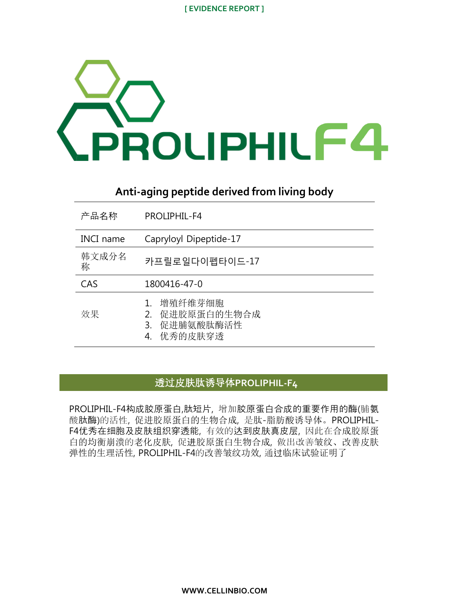

# **Anti-aging peptide derived from living body**

| 产品名称             | PROLIPHII - F4                                                   |
|------------------|------------------------------------------------------------------|
| <b>INCI</b> name | Capryloyl Dipeptide-17                                           |
| 韩文成分名<br>称       | 카프릴로일다이펩타이드-17                                                   |
| CAS              | 1800416-47-0                                                     |
| 效果               | 增殖纤维芽细胞<br>促进胶原蛋白的生物合成<br>2.<br>促进脯氨酸肽酶活性<br>3.<br>优秀的皮肤穿透<br>4. |

## 透过皮肤肽诱导体**PROLIPHIL-F4**

PROLIPHIL-F4构成胶原蛋白,肽短片, 增加胶原蛋白合成的重要作用的酶(脯氨 酸肽酶)的活性, 促进胶原蛋白的生物合成, 是肽-脂肪酸诱导体。PROLIPHIL-F4优秀在细胞及皮肤组织穿透能, 有效的达到皮肤真皮层, 因此在合成胶原蛋 白的均衡崩溃的老化皮肤, 促进胶原蛋白生物合成, 做出改善皱纹、改善皮肤 弹性的生理活性, PROLIPHIL-F4的改善皱纹功效, 通过临床试验证明了

**WWW.CELLINBIO.COM**